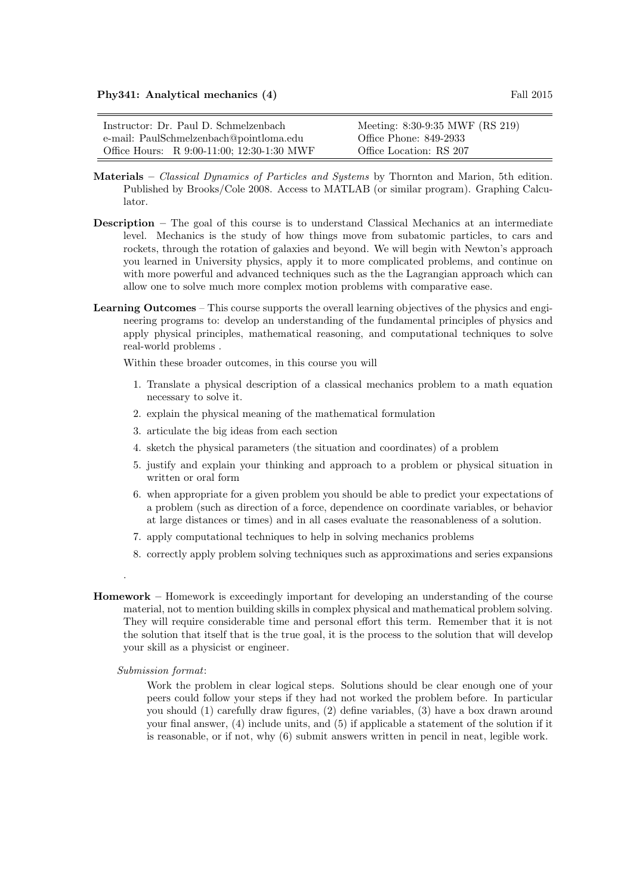| Instructor: Dr. Paul D. Schmelzenbach      | Meeting: 8:30-9:35 MWF (RS 219) |
|--------------------------------------------|---------------------------------|
| e-mail: PaulSchmelzenbach@pointloma.edu    | Office Phone: 849-2933          |
| Office Hours: R 9:00-11:00; 12:30-1:30 MWF | Office Location: RS 207         |

- Materials Classical Dynamics of Particles and Systems by Thornton and Marion, 5th edition. Published by Brooks/Cole 2008. Access to MATLAB (or similar program). Graphing Calculator.
- Description The goal of this course is to understand Classical Mechanics at an intermediate level. Mechanics is the study of how things move from subatomic particles, to cars and rockets, through the rotation of galaxies and beyond. We will begin with Newton's approach you learned in University physics, apply it to more complicated problems, and continue on with more powerful and advanced techniques such as the the Lagrangian approach which can allow one to solve much more complex motion problems with comparative ease.
- Learning Outcomes This course supports the overall learning objectives of the physics and engineering programs to: develop an understanding of the fundamental principles of physics and apply physical principles, mathematical reasoning, and computational techniques to solve real-world problems .

Within these broader outcomes, in this course you will

- 1. Translate a physical description of a classical mechanics problem to a math equation necessary to solve it.
- 2. explain the physical meaning of the mathematical formulation
- 3. articulate the big ideas from each section
- 4. sketch the physical parameters (the situation and coordinates) of a problem
- 5. justify and explain your thinking and approach to a problem or physical situation in written or oral form
- 6. when appropriate for a given problem you should be able to predict your expectations of a problem (such as direction of a force, dependence on coordinate variables, or behavior at large distances or times) and in all cases evaluate the reasonableness of a solution.
- 7. apply computational techniques to help in solving mechanics problems
- 8. correctly apply problem solving techniques such as approximations and series expansions
- Homework Homework is exceedingly important for developing an understanding of the course material, not to mention building skills in complex physical and mathematical problem solving. They will require considerable time and personal effort this term. Remember that it is not the solution that itself that is the true goal, it is the process to the solution that will develop your skill as a physicist or engineer.

## Submission format:

.

Work the problem in clear logical steps. Solutions should be clear enough one of your peers could follow your steps if they had not worked the problem before. In particular you should (1) carefully draw figures, (2) define variables, (3) have a box drawn around your final answer, (4) include units, and (5) if applicable a statement of the solution if it is reasonable, or if not, why (6) submit answers written in pencil in neat, legible work.